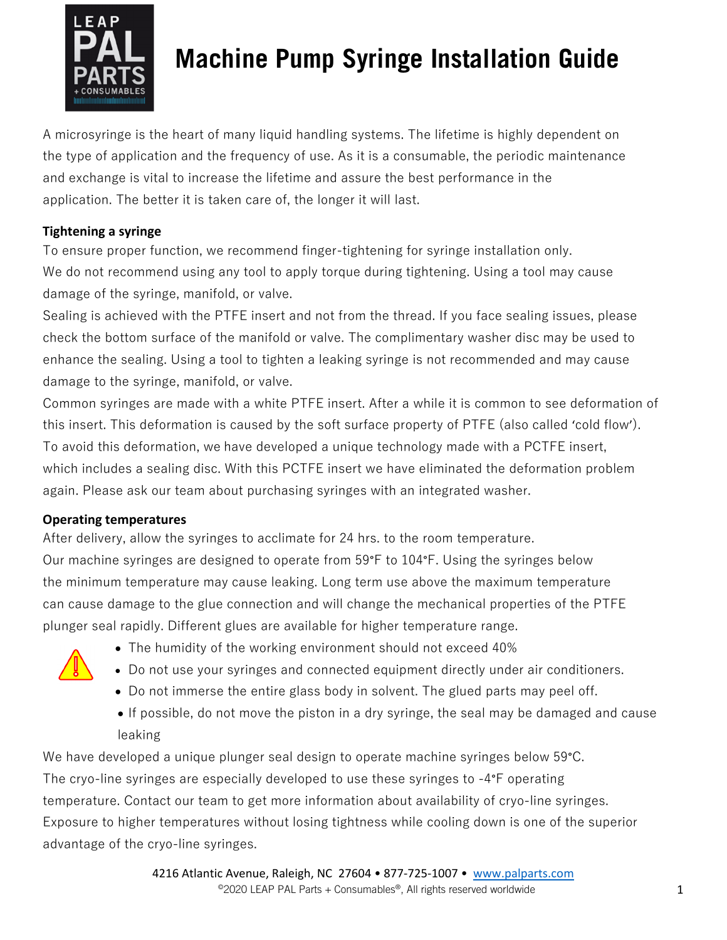

# **Machine Pump Syringe Installation Guide**

A microsyringe is the heart of many liquid handling systems. The lifetime is highly dependent on the type of application and the frequency of use. As it is a consumable, the periodic maintenance and exchange is vital to increase the lifetime and assure the best performance in the application. The better it is taken care of, the longer it will last.

### **Tightening a syringe**

To ensure proper function, we recommend finger-tightening for syringe installation only. We do not recommend using any tool to apply torque during tightening. Using a tool may cause damage of the syringe, manifold, or valve.

Sealing is achieved with the PTFE insert and not from the thread. If you face sealing issues, please check the bottom surface of the manifold or valve. The complimentary washer disc may be used to enhance the sealing. Using a tool to tighten a leaking syringe is not recommended and may cause damage to the syringe, manifold, or valve.

Common syringes are made with a white PTFE insert. After a while it is common to see deformation of this insert. This deformation is caused by the soft surface property of PTFE (also called 'cold flow'). To avoid this deformation, we have developed a unique technology made with a PCTFE insert, which includes a sealing disc. With this PCTFE insert we have eliminated the deformation problem again. Please ask our team about purchasing syringes with an integrated washer.

### **Operating temperatures**

After delivery, allow the syringes to acclimate for 24 hrs. to the room temperature. Our machine syringes are designed to operate from 59°F to 104°F. Using the syringes below the minimum temperature may cause leaking. Long term use above the maximum temperature can cause damage to the glue connection and will change the mechanical properties of the PTFE plunger seal rapidly. Different glues are available for higher temperature range.



- The humidity of the working environment should not exceed 40%
- Do not use your syringes and connected equipment directly under air conditioners.
- Do not immerse the entire glass body in solvent. The glued parts may peel off.
- If possible, do not move the piston in a dry syringe, the seal may be damaged and cause leaking

We have developed a unique plunger seal design to operate machine syringes below 59°C. The cryo-line syringes are especially developed to use these syringes to -4°F operating temperature. Contact our team to get more information about availability of cryo-line syringes. Exposure to higher temperatures without losing tightness while cooling down is one of the superior advantage of the cryo-line syringes.